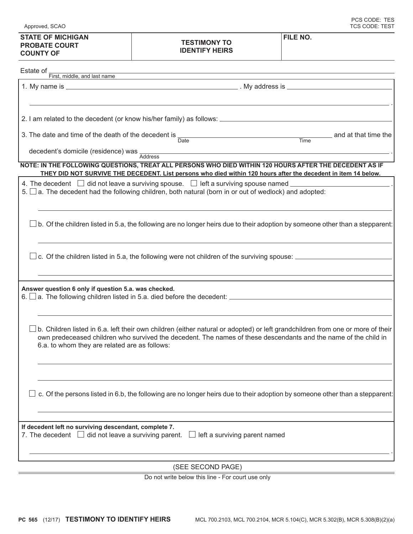| 3. The date and time of the death of the decedent is $\frac{1}{\text{Date}}$                                                                                                                                                                                                                       | and at that time the<br><u>Time</u> |
|----------------------------------------------------------------------------------------------------------------------------------------------------------------------------------------------------------------------------------------------------------------------------------------------------|-------------------------------------|
| decedent's domicile (residence) was Address<br>the control of the control of the control of the control of the control of the control of                                                                                                                                                           |                                     |
| NOTE: IN THE FOLLOWING QUESTIONS, TREAT ALL PERSONS WHO DIED WITHIN 120 HOURS AFTER THE DECEDENT AS IF<br>THEY DID NOT SURVIVE THE DECEDENT. List persons who died within 120 hours after the decedent in item 14 below.                                                                           |                                     |
| 4. The decedent $\Box$ did not leave a surviving spouse. $\Box$ left a surviving spouse named $\Box$<br>$5.$ $\Box$ a. The decedent had the following children, both natural (born in or out of wedlock) and adopted:                                                                              |                                     |
| b. Of the children listed in 5.a, the following are no longer heirs due to their adoption by someone other than a stepparent:                                                                                                                                                                      |                                     |
| c. Of the children listed in 5.a, the following were not children of the surviving spouse:                                                                                                                                                                                                         |                                     |
| Answer question 6 only if question 5.a. was checked.<br>$6.$ $\Box$ a. The following children listed in 5.a. died before the decedent: $\Box$ a. The following children listed in 5.a. died before the decedent: $\Box$                                                                            |                                     |
| b. Children listed in 6.a. left their own children (either natural or adopted) or left grandchildren from one or more of their<br>own predeceased children who survived the decedent. The names of these descendants and the name of the child in<br>6.a. to whom they are related are as follows: |                                     |
| c. Of the persons listed in 6.b, the following are no longer heirs due to their adoption by someone other than a stepparent:                                                                                                                                                                       |                                     |
| If decedent left no surviving descendant, complete 7.<br>7. The decedent $\Box$ did not leave a surviving parent.<br>$\Box$ left a surviving parent named                                                                                                                                          |                                     |
|                                                                                                                                                                                                                                                                                                    |                                     |

| <b>STATE OF MICHIGAN</b> |  |
|--------------------------|--|
| <b>PROBATE COURT</b>     |  |
| <b>COUNTY OF</b>         |  |

Approved, SCAO

## **TESTIMONY TO IDENTIFY HEIRS**

**FILE NO.**